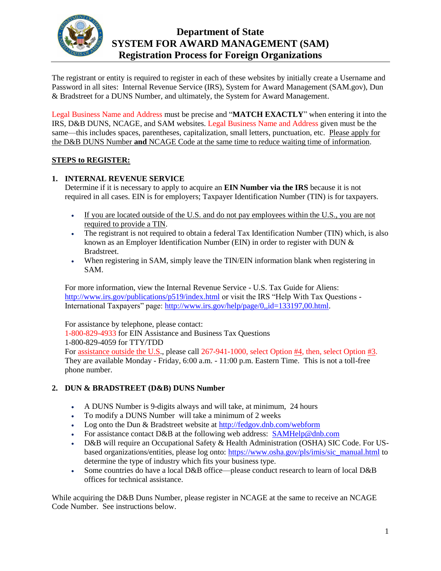

# **Department of State SYSTEM FOR AWARD MANAGEMENT (SAM) Registration Process for Foreign Organizations**

The registrant or entity is required to register in each of these websites by initially create a Username and Password in all sites: Internal Revenue Service (IRS), System for Award Management (SAM.gov), Dun & Bradstreet for a DUNS Number, and ultimately, the System for Award Management.

Legal Business Name and Address must be precise and "**MATCH EXACTLY**" when entering it into the IRS, D&B DUNS, NCAGE, and SAM websites. Legal Business Name and Address given must be the same—this includes spaces, parentheses, capitalization, small letters, punctuation, etc. Please apply for the D&B DUNS Number **and** NCAGE Code at the same time to reduce waiting time of information.

#### **STEPS to REGISTER:**

### **1. INTERNAL REVENUE SERVICE**

Determine if it is necessary to apply to acquire an **EIN Number via the IRS** because it is not required in all cases. EIN is for employers; Taxpayer Identification Number (TIN) is for taxpayers.

- If you are located outside of the U.S. and do not pay employees within the U.S., you are not required to provide a TIN.
- The registrant is not required to obtain a federal Tax Identification Number (TIN) which, is also known as an Employer Identification Number (EIN) in order to register with DUN & Bradstreet.
- When registering in SAM, simply leave the TIN/EIN information blank when registering in SAM.

For more information, view the Internal Revenue Service - U.S. Tax Guide for Aliens: <http://www.irs.gov/publications/p519/index.html> or visit the IRS "Help With Tax Questions -International Taxpayers" page: [http://www.irs.gov/help/page/0,,id=133197,00.html.](http://www.irs.gov/help/page/0,,id=133197,00.html)

For assistance by telephone, please contact: 1-800-829-4933 for EIN Assistance and Business Tax Questions 1-800-829-4059 for TTY/TDD For assistance outside the U.S., please call 267-941-1000, select Option #4, then, select Option #3. They are available Monday - Friday, 6:00 a.m. - 11:00 p.m. Eastern Time. This is not a toll-free phone number.

#### **2. DUN & BRADSTREET (D&B) DUNS Number**

- A DUNS Number is 9-digits always and will take, at minimum, 24 hours
- To modify a DUNS Number will take a minimum of 2 weeks
- Log onto the Dun & Bradstreet website at<http://fedgov.dnb.com/webform>
- For assistance contact D&B at the following web address: [SAMHelp@dnb.com](mailto:SAMHelp@dnb.com)
- D&B will require an Occupational Safety & Health Administration (OSHA) SIC Code. For USbased organizations/entities, please log onto: [https://www.osha.gov/pls/imis/sic\\_manual.html](https://www.osha.gov/pls/imis/sic_manual.html) to determine the type of industry which fits your business type.
- Some countries do have a local D&B office—please conduct research to learn of local D&B offices for technical assistance.

While acquiring the D&B Duns Number, please register in NCAGE at the same to receive an NCAGE Code Number. See instructions below.